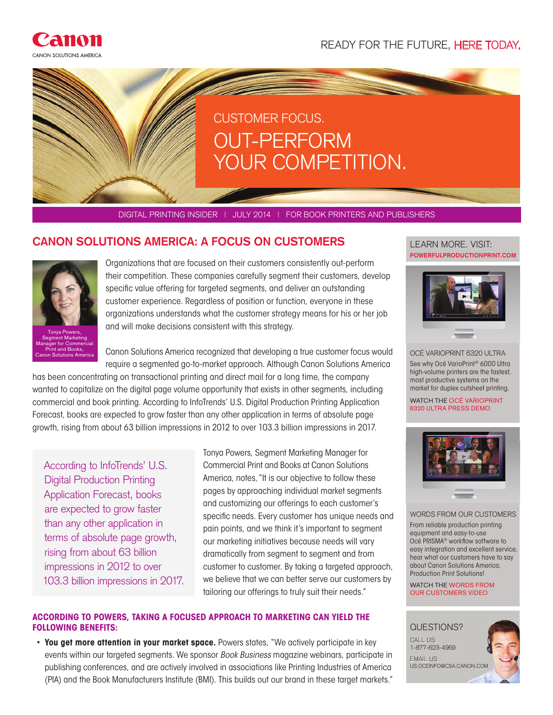

READY FOR THE FUTURE, HERE TODAY.

# CUSTOMER FOCUS. OUT-PERFORM YOUR COMPETITION.

DIGITAL PRINTING INSIDER | JULY 2014 | FOR BOOK PRINTERS AND PUBLISHERS

# **CANON SOLUTIONS AMERICA: A FOCUS ON CUSTOMERS**



Tonya Powers, Segment Marketing Manager for Commercial Print and Books, Canon Solutions America Organizations that are focused on their customers consistently out-perform their competition. These companies carefully segment their customers, develop specific value offering for targeted segments, and deliver an outstanding customer experience. Regardless of position or function, everyone in these organizations understands what the customer strategy means for his or her job and will make decisions consistent with this strategy.

Canon Solutions America recognized that developing a true customer focus would require a segmented go-to-market approach. Although Canon Solutions America

has been concentrating on transactional printing and direct mail for a long time, the company wanted to capitalize on the digital page volume opportunity that exists in other segments, including commercial and book printing. According to InfoTrends' U.S. Digital Production Printing Application Forecast, books are expected to grow faster than any other application in terms of absolute page growth, rising from about 63 billion impressions in 2012 to over 103.3 billion impressions in 2017.

According to InfoTrends' U.S. Digital Production Printing Application Forecast, books are expected to grow faster than any other application in terms of absolute page growth, rising from about 63 billion impressions in 2012 to over 103.3 billion impressions in 2017. Tonya Powers, Segment Marketing Manager for Commercial Print and Books at Canon Solutions America, notes, "It is our objective to follow these pages by approaching individual market segments and customizing our offerings to each customer's specific needs. Every customer has unique needs and pain points, and we think it's important to segment our marketing initiatives because needs will vary dramatically from segment to segment and from customer to customer. By taking a targeted approach, we believe that we can better serve our customers by tailoring our offerings to truly suit their needs."

## **ACCORDING TO POWERS, TAKING A FOCUSED APPROACH TO MARKETING CAN YIELD THE FOLLOWING BENEFITS:**

• **You get more attention in your market space.** Powers states, "We actively participate in key events within our targeted segments. We sponsor *Book Business* magazine webinars, participate in publishing conferences, and are actively involved in associations like Printing Industries of America (PIA) and the Book Manufacturers Institute (BMI). This builds out our brand in these target markets."

#### **POWERFULPRODUCTIONPRINT.COM** LEARN MORE. VISIT:



OCÉ VARIOPRINT 6320 ULTRA See why Océ VarioPrint® 6000 Ultra high-volume printers are the fastest, most productive systems on the market for duplex cutsheet printing.

WATCH THE OCÉ VARIOPRINT 6320 ULTRA PRESS DEMO



#### WORDS FROM OUR CUSTOMERS

From reliable production printing equipment and easy-to-use Océ PRISMA® workflow software to easy integration and excellent service, hear what our customers have to say about Canon Solutions America, Production Print Solutions!

WATCH THE WORDS FROM OUR CUSTOMERS VIDEO

## QUESTIONS? CALL US:

1-877-623-4969 EMAIL US: US.OCEINFO@CSA.CANON.COM